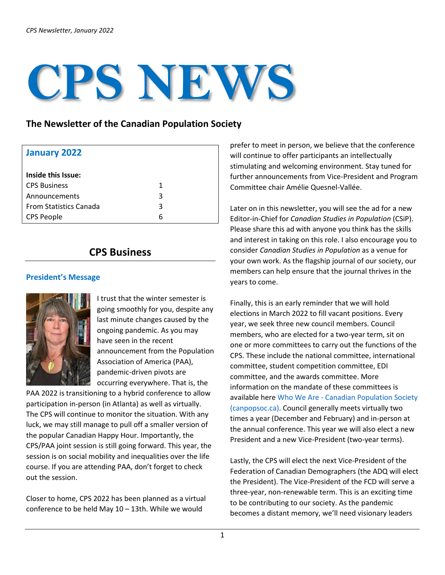# **CPS NEWS**

## **The Newsletter of the Canadian Population Society**

| <b>January 2022</b>           |   |
|-------------------------------|---|
| Inside this Issue:            |   |
| <b>CPS Business</b>           | 1 |
| Announcements                 | 3 |
| <b>From Statistics Canada</b> | 3 |
| <b>CPS People</b>             | 6 |

## **CPS Business**

## **President's Message**



I trust that the winter semester is going smoothly for you, despite any last minute changes caused by the ongoing pandemic. As you may have seen in the recent announcement from the Population Association of America (PAA), pandemic-driven pivots are occurring everywhere. That is, the

PAA 2022 is transitioning to a hybrid conference to allow participation in-person (in Atlanta) as well as virtually. The CPS will continue to monitor the situation. With any luck, we may still manage to pull off a smaller version of the popular Canadian Happy Hour. Importantly, the CPS/PAA joint session is still going forward. This year, the session is on social mobility and inequalities over the life course. If you are attending PAA, don't forget to check out the session.

Closer to home, CPS 2022 has been planned as a virtual conference to be held May 10 – 13th. While we would

prefer to meet in person, we believe that the conference will continue to offer participants an intellectually stimulating and welcoming environment. Stay tuned for further announcements from Vice-President and Program Committee chair Amélie Quesnel-Vallée.

Later on in this newsletter, you will see the ad for a new Editor-in-Chief for *Canadian Studies in Population* (CSiP). Please share this ad with anyone you think has the skills and interest in taking on this role. I also encourage you to consider *Canadian Studies in Population* as a venue for your own work. As the flagship journal of our society, our members can help ensure that the journal thrives in the years to come.

Finally, this is an early reminder that we will hold elections in March 2022 to fill vacant positions. Every year, we seek three new council members. Council members, who are elected for a two-year term, sit on one or more committees to carry out the functions of the CPS. These include the national committee, international committee, student competition committee, EDI committee, and the awards committee. More information on the mandate of these committees is available here Who We Are - [Canadian Population Society](https://www.canpopsoc.ca/about/who-we-are/)  [\(canpopsoc.ca\).](https://www.canpopsoc.ca/about/who-we-are/) Council generally meets virtually two times a year (December and February) and in-person at the annual conference. This year we will also elect a new President and a new Vice-President (two-year terms).

Lastly, the CPS will elect the next Vice-President of the Federation of Canadian Demographers (the ADQ will elect the President). The Vice-President of the FCD will serve a three-year, non-renewable term. This is an exciting time to be contributing to our society. As the pandemic becomes a distant memory, we'll need visionary leaders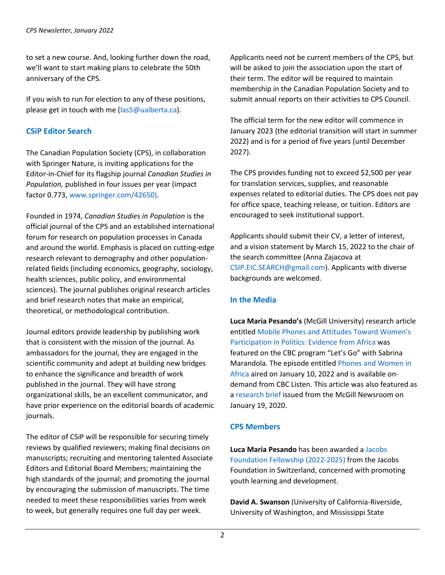to set a new course. And, looking further down the road, we'll want to start making plans to celebrate the 50th anniversary of the CPS.

If you wish to run for election to any of these positions, please get in touch with me [\(las5@ualberta.ca\)](mailto:las5@ualberta.ca).

## **CSiP Editor Search**

The Canadian Population Society (CPS), in collaboration with Springer Nature, is inviting applications for the Editor-in-Chief for its flagship journal *Canadian Studies in Population,* published in four issues per year (impact factor 0.773[, www.springer.com/42650\)](http://www.springer.com/42650).

Founded in 1974, *Canadian Studies in Population* is the official journal of the CPS and an established international forum for research on population processes in Canada and around the world. Emphasis is placed on cutting-edge research relevant to demography and other populationrelated fields (including economics, geography, sociology, health sciences, public policy, and environmental sciences). The journal publishes original research articles and brief research notes that make an empirical, theoretical, or methodological contribution.

Journal editors provide leadership by publishing work that is consistent with the mission of the journal. As ambassadors for the journal, they are engaged in the scientific community and adept at building new bridges to enhance the significance and breadth of work published in the journal. They will have strong organizational skills, be an excellent communicator, and have prior experience on the editorial boards of academic journals.

The editor of CSiP will be responsible for securing timely reviews by qualified reviewers; making final decisions on manuscripts; recruiting and mentoring talented Associate Editors and Editorial Board Members; maintaining the high standards of the journal; and promoting the journal by encouraging the submission of manuscripts. The time needed to meet these responsibilities varies from week to week, but generally requires one full day per week.

Applicants need not be current members of the CPS, but will be asked to join the association upon the start of their term. The editor will be required to maintain membership in the Canadian Population Society and to submit annual reports on their activities to CPS Council.

The official term for the new editor will commence in January 2023 (the editorial transition will start in summer 2022) and is for a period of five years (until December 2027).

The CPS provides funding not to exceed \$2,500 per year for translation services, supplies, and reasonable expenses related to editorial duties. The CPS does not pay for office space, teaching release, or tuition. Editors are encouraged to seek institutional support.

Applicants should submit their CV, a letter of interest, and a vision statement by March 15, 2022 to the chair of the search committee (Anna Zajacova at [CSIP.EIC.SEARCH@gmail.com\)](mailto:CSIP.EIC.SEARCH@gmail.com). Applicants with diverse backgrounds are welcomed.

## **In the Media**

**Luca Maria Pesando's** (McGill University) research article entitled [Mobile Phones and Attitudes Toward Women's](https://online.ucpress.edu/socdev/article-abstract/doi/10.1525/sod.2020.0039/118773/Mobile-Phones-and-Attitudes-toward-Women-s?redirectedFrom=fulltext)  [Participation in Politics: Evidence from Africa](https://online.ucpress.edu/socdev/article-abstract/doi/10.1525/sod.2020.0039/118773/Mobile-Phones-and-Attitudes-toward-Women-s?redirectedFrom=fulltext) was featured on the CBC program "Let's Go" with Sabrina Marandola. The episode entitled [Phones and Women in](https://www.cbc.ca/listen/live-radio/1-383-lets-go/clip/15888532-phones-women-africa)  [Africa](https://www.cbc.ca/listen/live-radio/1-383-lets-go/clip/15888532-phones-women-africa) aired on January 10, 2022 and is available ondemand from CBC Listen. This article was also featured as [a research brief](https://www.mcgill.ca/mymcgill/channels/news/research-briefs-climate-change-projections-parkinsons-pain-and-mimicking-aorta-333903) issued from the McGill Newsroom on January 19, 2020.

## **CPS Members**

**Luca Maria Pesando** has been awarded a [Jacobs](https://jacobsfoundation.org/en/fellow/luca-maria-pesando/)  [Foundation Fellowship \(2022-2025\)](https://jacobsfoundation.org/en/fellow/luca-maria-pesando/) from the Jacobs Foundation in Switzerland, concerned with promoting youth learning and development.

**David A. Swanson** (University of California-Riverside, University of Washington, and Mississippi State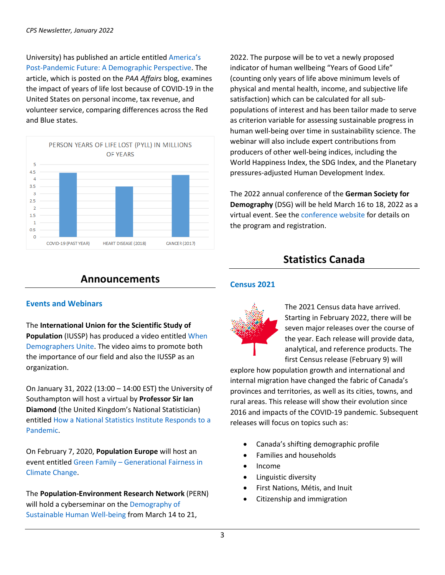University) has published an article entitle[d America's](https://www.populationassociation.org/blogs/david-swanson/2022/01/04/americas-post-pandemic-future-a-demographic-perspe?CommunityKey=a7bf5d77-d09b-4907-9e17-468af4bdf4a6)  [Post-Pandemic Future: A Demographic Perspective.](https://www.populationassociation.org/blogs/david-swanson/2022/01/04/americas-post-pandemic-future-a-demographic-perspe?CommunityKey=a7bf5d77-d09b-4907-9e17-468af4bdf4a6) The article, which is posted on the *PAA Affairs* blog, examines the impact of years of life lost because of COVID-19 in the United States on personal income, tax revenue, and volunteer service, comparing differences across the Red and Blue states.



2022. The purpose will be to vet a newly proposed indicator of human wellbeing "Years of Good Life" (counting only years of life above minimum levels of physical and mental health, income, and subjective life satisfaction) which can be calculated for all subpopulations of interest and has been tailor made to serve as criterion variable for assessing sustainable progress in human well-being over time in sustainability science. The webinar will also include expert contributions from producers of other well-being indices, including the World Happiness Index, the SDG Index, and the Planetary pressures-adjusted Human Development Index.

The 2022 annual conference of the **German Society for Demography** (DSG) will be held March 16 to 18, 2022 as a virtual event. See th[e conference website](https://dgd-online.de/annual-conference-2022/) for details on the program and registration.

## **Statistics Canada**

#### **Census 2021**



The 2021 Census data have arrived. Starting in February 2022, there will be seven major releases over the course of the year. Each release will provide data, analytical, and reference products. The first Census release (February 9) will

explore how population growth and international and internal migration have changed the fabric of Canada's provinces and territories, as well as its cities, towns, and rural areas. This release will show their evolution since 2016 and impacts of the COVID-19 pandemic. Subsequent releases will focus on topics such as:

- Canada's shifting demographic profile
- Families and households
- Income
- Linguistic diversity
- First Nations, Métis, and Inuit
- Citizenship and immigration

# **Announcements**

## **Events and Webinars**

The **International Union for the Scientific Study of Population** (IUSSP) has produced a video entitle[d When](https://vimeo.com/652930605/18c2755cee)  [Demographers Unite.](https://vimeo.com/652930605/18c2755cee) The video aims to promote both the importance of our field and also the IUSSP as an organization.

On January 31, 2022 (13:00 – 14:00 EST) the University of Southampton will host a virtual by **Professor Sir Ian Diamond** (the United Kingdom's National Statistician) entitled [How a National Statistics Institute Responds to a](https://www.eventbrite.co.uk/e/sir-ian-diamond-how-a-national-statistics-institute-responds-to-a-pandemic-tickets-226901778327)  [Pandemic.](https://www.eventbrite.co.uk/e/sir-ian-diamond-how-a-national-statistics-institute-responds-to-a-pandemic-tickets-226901778327)

On February 7, 2020, **Population Europe** will host an event entitled Green Family – [Generational Fairness in](https://population-europe.eu/events/green-family-generational-fairness-climate-change)  [Climate Change.](https://population-europe.eu/events/green-family-generational-fairness-climate-change)

The **Population-Environment Research Network** (PERN) will hold a cyberseminar on th[e Demography of](https://www.populationenvironmentresearch.org/cyberseminars)  [Sustainable Human Well-being](https://www.populationenvironmentresearch.org/cyberseminars) from March 14 to 21,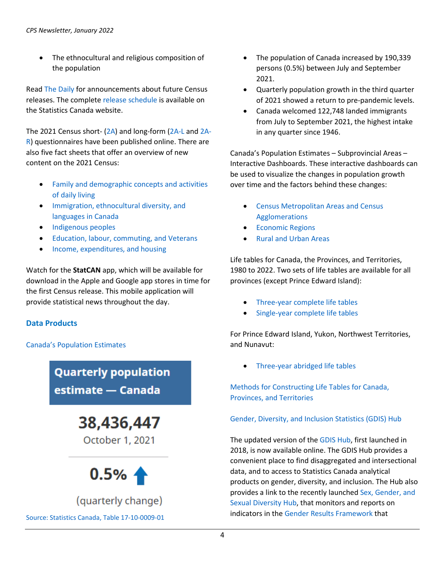The ethnocultural and religious composition of the population

Read [The Daily](https://www150.statcan.gc.ca/n1/dai-quo/index-eng.htm?HPA=1) for announcements about future Census releases. The complet[e release schedule](https://www12.statcan.gc.ca/census-recensement/2021/ref/prodserv/release-diffusion-eng.cfm) is available on the Statistics Canada website.

The 2021 Census short- [\(2A\)](https://www.statcan.gc.ca/en/statistical-programs/instrument/3901_Q1_V7) and long-form [\(2A-L](https://www.statcan.gc.ca/en/statistical-programs/instrument/3901_Q2_V6) an[d 2A-](https://www.statcan.gc.ca/en/statistical-programs/instrument/3901_Q8_V2)[R\)](https://www.statcan.gc.ca/en/statistical-programs/instrument/3901_Q8_V2) questionnaires have been published online. There are also five fact sheets that offer an overview of new content on the 2021 Census:

- [Family and demographic concepts and activities](https://www12.statcan.gc.ca/census-recensement/2021/ref/98-20-0001/982000012020001-eng.cfm)  [of daily living](https://www12.statcan.gc.ca/census-recensement/2021/ref/98-20-0001/982000012020001-eng.cfm)
- [Immigration, ethnocultural diversity, and](https://www12.statcan.gc.ca/census-recensement/2021/ref/98-20-0001/982000012020002-eng.cfm)  [languages in Canada](https://www12.statcan.gc.ca/census-recensement/2021/ref/98-20-0001/982000012020002-eng.cfm)
- [Indigenous peoples](https://www12.statcan.gc.ca/census-recensement/2021/ref/98-20-0001/982000012020003-eng.cfm)
- [Education, labour, commuting, and Veterans](https://www12.statcan.gc.ca/census-recensement/2021/ref/98-20-0001/982000012020004-eng.cfm)
- [Income, expenditures, and housing](https://www12.statcan.gc.ca/census-recensement/2021/ref/98-20-0001/982000012020005-eng.cfm)

Watch for the **StatCAN** app, which will be available for download in the Apple and Google app stores in time for the first Census release. This mobile application will provide statistical news throughout the day.

## **Data Products**

## [Canada's Population Estimates](https://www150.statcan.gc.ca/n1/daily-quotidien/211216/dq211216c-eng.htm)

**Quarterly population** estimate — Canada

> 38,436,447 October 1, 2021



(quarterly change)

[Source: Statistics Canada, Table 17-10-0009-01](https://www150.statcan.gc.ca/t1/tbl1/en/tv.action?pid=1710000901)

- The population of Canada increased by 190,339 persons (0.5%) between July and September 2021.
- Quarterly population growth in the third quarter of 2021 showed a return to pre-pandemic levels.
- Canada welcomed 122,748 landed immigrants from July to September 2021, the highest intake in any quarter since 1946.

Canada's Population Estimates – Subprovincial Areas – Interactive Dashboards. These interactive dashboards can be used to visualize the changes in population growth over time and the factors behind these changes:

- [Census Metropolitan Areas and Census](https://www150.statcan.gc.ca/n1/pub/71-607-x/71-607-x2020003-eng.htm)  [Agglomerations](https://www150.statcan.gc.ca/n1/pub/71-607-x/71-607-x2020003-eng.htm)
- [Economic Regions](https://www150.statcan.gc.ca/n1/pub/71-607-x/71-607-x2020020-eng.htm)
- [Rural and Urban Areas](https://www150.statcan.gc.ca/n1/pub/71-607-x/71-607-x2021030-eng.htm)

Life tables for Canada, the Provinces, and Territories, 1980 to 2022. Two sets of life tables are available for all provinces (except Prince Edward Island):

- [Three-year complete life tables](https://www150.statcan.gc.ca/t1/tbl1/en/tv.action?pid=1310011401)
- [Single-year complete life tables](https://www150.statcan.gc.ca/t1/tbl1/en/tv.action?pid=1310083701)

For Prince Edward Island, Yukon, Northwest Territories, and Nunavut:

• [Three-year abridged life tables](https://www150.statcan.gc.ca/t1/tbl1/en/tv.action?pid=1310014001)

[Methods for Constructing Life Tables for Canada,](https://www150.statcan.gc.ca/n1/pub/84-538-x/84-538-x2021001-eng.htm)  [Provinces, and Territories](https://www150.statcan.gc.ca/n1/pub/84-538-x/84-538-x2021001-eng.htm)

[Gender, Diversity, and Inclusion Statistics \(GDIS\) Hub](https://www150.statcan.gc.ca/n1/daily-quotidien/211208/dq211208d-eng.htm)

The updated version of the [GDIS Hub,](https://www.statcan.gc.ca/en/topics-start/gender_diversity_and_inclusion) first launched in 2018, is now available online. The GDIS Hub provides a convenient place to find disaggregated and intersectional data, and to access to Statistics Canada analytical products on gender, diversity, and inclusion. The Hub also provides a link to the recently launche[d Sex, Gender, and](https://www.statcan.gc.ca/en/subjects-start/society_and_community/sex_gender_and_sexual_orientation)  [Sexual Diversity Hub,](https://www.statcan.gc.ca/en/subjects-start/society_and_community/sex_gender_and_sexual_orientation) that monitors and reports on indicators in th[e Gender Results Framework](https://women-gender-equality.canada.ca/en/gender-results-framework.html) that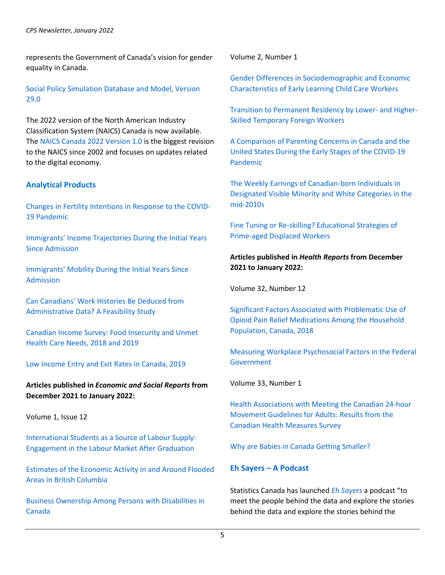*CPS Newsletter, January 2022*

represents the Government of Canada's vision for gender equality in Canada.

[Social Policy Simulation Database and Model, Version](https://www150.statcan.gc.ca/n1/daily-quotidien/220117/dq220117e-eng.htm)  [29.0](https://www150.statcan.gc.ca/n1/daily-quotidien/220117/dq220117e-eng.htm)

The 2022 version of the North American Industry Classification System (NAICS) Canada is now available. The [NAICS Canada 2022 Version 1.0](https://www.statcan.gc.ca/en/subjects/standard/naics/2022/v1/index) is the biggest revision to the NAICS since 2002 and focuses on updates related to the digital economy.

## **Analytical Products**

[Changes in Fertility Intentions in Response to the COVID-](https://www150.statcan.gc.ca/n1/pub/45-28-0001/2021001/article/00041-eng.htm)[19 Pandemic](https://www150.statcan.gc.ca/n1/pub/45-28-0001/2021001/article/00041-eng.htm)

[Immigrants' Income Trajectories During the Initial Years](https://www150.statcan.gc.ca/n1/daily-quotidien/211206/dq211206b-eng.htm)  [Since Admission](https://www150.statcan.gc.ca/n1/daily-quotidien/211206/dq211206b-eng.htm)

[Immigrants' Mobility During the Initial Years Since](https://www150.statcan.gc.ca/n1/daily-quotidien/211210/dq211210b-eng.htm)  [Admission](https://www150.statcan.gc.ca/n1/daily-quotidien/211210/dq211210b-eng.htm)

[Can Canadians' Work Histories Be Deduced from](https://www150.statcan.gc.ca/n1/pub/11-633-x/11-633-x2021009-eng.htm)  [Administrative Data? A Feasibility Study](https://www150.statcan.gc.ca/n1/pub/11-633-x/11-633-x2021009-eng.htm)

[Canadian Income Survey: Food Insecurity and Unmet](https://www150.statcan.gc.ca/n1/pub/75f0002m/75f0002m2021009-eng.htm)  [Health Care Needs, 2018 and 2019](https://www150.statcan.gc.ca/n1/pub/75f0002m/75f0002m2021009-eng.htm)

[Low Income Entry and Exit Rates in Canada, 2019](https://www150.statcan.gc.ca/n1/daily-quotidien/220118/dq220118b-eng.htm)

**Articles published in** *Economic and Social Reports* **from December 2021 to January 2022:**

Volume 1, Issue 12

[International Students as a Source of Labour Supply:](https://www150.statcan.gc.ca/n1/en/catalogue/36280001202101200002)  [Engagement in the Labour Market After](https://www150.statcan.gc.ca/n1/en/catalogue/36280001202101200002) Graduation

[Estimates of the Economic Activity in and Around Flooded](https://www150.statcan.gc.ca/n1/en/catalogue/36280001202101200003)  [Areas in British Columbia](https://www150.statcan.gc.ca/n1/en/catalogue/36280001202101200003)

[Business Ownership Among Persons with Disabilities in](https://www150.statcan.gc.ca/n1/en/catalogue/36280001202101200004)  [Canada](https://www150.statcan.gc.ca/n1/en/catalogue/36280001202101200004)

Volume 2, Number 1

[Gender Differences in Sociodemographic and Economic](https://www150.statcan.gc.ca/n1/en/catalogue/36280001202200100001)  [Characteristics of Early Learning Child Care Workers](https://www150.statcan.gc.ca/n1/en/catalogue/36280001202200100001)

[Transition to Permanent Residency by Lower-](https://www150.statcan.gc.ca/n1/en/catalogue/36280001202200100002) and Higher-[Skilled Temporary Foreign Workers](https://www150.statcan.gc.ca/n1/en/catalogue/36280001202200100002)

[A Comparison of Parenting Concerns in Canada and the](https://www150.statcan.gc.ca/n1/en/catalogue/36280001202200100003)  [United States During the Early Stages of the COVID-19](https://www150.statcan.gc.ca/n1/en/catalogue/36280001202200100003)  [Pandemic](https://www150.statcan.gc.ca/n1/en/catalogue/36280001202200100003)

[The Weekly Earnings of Canadian-born Individuals in](https://www150.statcan.gc.ca/n1/en/catalogue/36280001202200100004)  [Designated Visible Minority and White Categories in the](https://www150.statcan.gc.ca/n1/en/catalogue/36280001202200100004)  [mid-2010s](https://www150.statcan.gc.ca/n1/en/catalogue/36280001202200100004)

[Fine Tuning or Re-skilling? Educational Strategies of](https://www150.statcan.gc.ca/n1/en/catalogue/36280001202200100005)  [Prime-aged Displaced Workers](https://www150.statcan.gc.ca/n1/en/catalogue/36280001202200100005)

## **Articles published in** *Health Reports* **from December 2021 to January 2022:**

Volume 32, Number 12

[Significant Factors Associated with Problematic Use of](https://www150.statcan.gc.ca/n1/pub/82-003-x/2021012/article/00002-eng.htm)  [Opioid Pain Relief Medications Among the Household](https://www150.statcan.gc.ca/n1/pub/82-003-x/2021012/article/00002-eng.htm)  [Population, Canada, 2018](https://www150.statcan.gc.ca/n1/pub/82-003-x/2021012/article/00002-eng.htm)

[Measuring Workplace Psychosocial Factors in the Federal](https://www150.statcan.gc.ca/n1/pub/82-003-x/2021012/article/00001-eng.htm)  [Government](https://www150.statcan.gc.ca/n1/pub/82-003-x/2021012/article/00001-eng.htm)

Volume 33, Number 1

[Health Associations with Meeting the Canadian 24-hour](https://www150.statcan.gc.ca/n1/pub/82-003-x/2022001/article/00002-eng.htm)  [Movement Guidelines for Adults: Results from the](https://www150.statcan.gc.ca/n1/pub/82-003-x/2022001/article/00002-eng.htm)  [Canadian Health Measures Survey](https://www150.statcan.gc.ca/n1/pub/82-003-x/2022001/article/00002-eng.htm)

[Why are Babies in Canada Getting Smaller?](https://www150.statcan.gc.ca/n1/pub/82-003-x/2022001/article/00001-eng.htm)

#### **Eh Sayers – A Podcast**

Statistics Canada has launched *[Eh Sayers](https://www.statcan.gc.ca/en/sc/podcasts/)* a podcast "to meet the people behind the data and explore the stories behind the data and explore the stories behind the